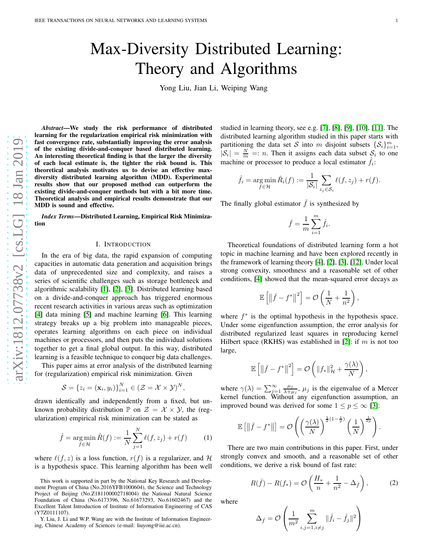# Max-Diversity Distributed Learning: Theory and Algorithms

Yong Liu, Jian Li, Weiping Wang

*Abstract*—We study the risk performance of distributed learning for the regularization empirical risk minimization with fast convergence rate, substantially improving the error analysis of the existing divide-and-conquer based distributed learning. An interesting theoretical finding is that the larger the diversity of each local estimate is, the tighter the risk bound is. This theoretical analysis motivates us to devise an effective maxdiversity distributed learning algorithm (MDD). Experimental results show that our proposed method can outperform the existing divide-and-conquer methods but with a bit more time. Theoretical analysis and empirical results demonstrate that our MDD is sound and effective.

*Index Terms*—Distributed Learning, Empirical Risk Minimization

# I. INTRODUCTION

In the era of big data, the rapid expansion of computing capacities in automatic data generation and acquisition brings data of unprecedented size and complexity, and raises a series of scientific challenges such as storage bottleneck and algorithmic scalability [\[1\]](#page-7-0), [\[2\]](#page-7-1), [\[3\]](#page-7-2). Distributed learning based on a divide-and-conquer approach has triggered enormous recent research activities in various areas such as optimization [\[4\]](#page-8-0) data mining [\[5\]](#page-8-1) and machine learning [\[6\]](#page-8-2). This learning strategy breaks up a big problem into manageable pieces, operates learning algorithms on each piece on individual machines or processors, and then puts the individual solutions together to get a final global output. In this way, distribute d learning is a feasible technique to conquer big data challenges.

This paper aims at error analysis of the distributed learnin g for (regularization) empirical risk minimization. Given

$$
\mathcal{S} = \{z_i = (\mathbf{x}_i, y_i)\}_{i=1}^N \in (\mathcal{Z} = \mathcal{X} \times \mathcal{Y})^N
$$

drawn identically and independently from a fixed, but unknown probability distribution  $\mathbb P$  on  $\mathcal Z = \mathcal X \times \mathcal Y$ , the (regularization) empirical risk minimization can be stated as

$$
\hat{f} = \underset{f \in \mathcal{H}}{\arg \min} \, \hat{R}(f) := \frac{1}{N} \sum_{j=1}^{N} \ell(f, z_j) + r(f) \tag{1}
$$

,

where  $\ell(f, z)$  is a loss function,  $r(f)$  is a regularizer, and H is a hypothesis space. This learning algorithm has been well

Y. Liu, J. Li and W.P. Wang are with the Institute of Information Engineering, Chinese Academy of Sciences (e-mail: liuyong@iie.ac.cn).

studied in learning theory, see e.g. [\[7\]](#page-8-3), [\[8\]](#page-8-4), [\[9\]](#page-8-5), [\[10\]](#page-8-6), [\[11\]](#page-8-7). The distributed learning algorithm studied in this paper starts with partitioning the data set S into m disjoint subsets  $\{S_i\}_{i=1}^m$ ,  $|S_i| = \frac{N}{m} =: n$ . Then it assigns each data subset  $S_i$  to one machine or processor to produce a local estimator  $\hat{f}_i$ :

$$
\hat{f}_i = \underset{f \in \mathcal{H}}{\arg \min} \, \hat{R}_i(f) := \frac{1}{|\mathcal{S}_i|} \sum_{z_j \in \mathcal{S}_i} \ell(f, z_j) + r(f).
$$

The finally global estimator  $\bar{f}$  is synthesized by

$$
\bar{f} = \frac{1}{m} \sum_{i=1}^{m} \hat{f}_i.
$$

Theoretical foundations of distributed learning form a hot topic in machine learning and have been explored recently in the framework of learning theory [\[4\]](#page-8-0), [\[2\]](#page-7-1), [\[3\]](#page-7-2), [\[12\]](#page-8-8). Under local strong convexity, smoothness and a reasonable set of other conditions, [\[4\]](#page-8-0) showed that the mean-squared error decays a s

$$
\mathbb{E}\left[\left\|\bar{f}-f^*\right\|^2\right] = \mathcal{O}\left(\frac{1}{N} + \frac{1}{n^2}\right),\,
$$

where  $f^*$  is the optimal hypothesis in the hypothesis space. Under some eigenfunction assumption, the error analysis fo r distributed regularized least squares in reproducing kernel Hilbert space (RKHS) was established in [\[2\]](#page-7-1): if  $m$  is not too large,

$$
\mathbb{E}\left[\left\|\bar{f}-f^*\right\|^2\right]=\mathcal{O}\left(\|f_*\|_{\mathcal{H}}^2+\frac{\gamma(\lambda)}{N}\right),\,
$$

where  $\gamma(\lambda) = \sum_{j=1}^{\infty} \frac{\mu_j}{\lambda + \mu_j}$ ,  $\mu_j$  is the eigenvalue of a Mercer kernel function. Without any eigenfunction assumption, an improved bound was derived for some  $1 \le p \le \infty$  [\[3\]](#page-7-2):

$$
\mathbb{E}\left[\left\|\bar{f}-f^*\right\|\right] = \mathcal{O}\left(\left(\frac{\gamma(\lambda)}{N}\right)^{\frac{1}{2}(1-\frac{1}{p})}\left(\frac{1}{N}\right)^{\frac{1}{2p}}\right).
$$

There are two main contributions in this paper. First, under strongly convex and smooth, and a reasonable set of other conditions, we derive a risk bound of fast rate:

$$
R(\bar{f}) - R(f_*) = \mathcal{O}\left(\frac{H_*}{n} + \frac{1}{n^2} - \Delta_{\bar{f}}\right),\tag{2}
$$

where

<span id="page-0-0"></span>
$$
\Delta_{\bar{f}} = \mathcal{O}\left(\frac{1}{m^2} \sum_{i,j=1, i \neq j}^{m} ||\hat{f}_i - \hat{f}_j||^2\right)
$$

This work is supported in part by the National Key Research and Development Program of China (No.2016YFB1000604), the Science and Technology Project of Beijing (No.Z181100002718004) the National Natural Science Foundation of China (No.6173396, No.61673293, No.61602467) and the Excellent Talent Introduction of Institute of Information Engineering of CAS (Y7Z0111107).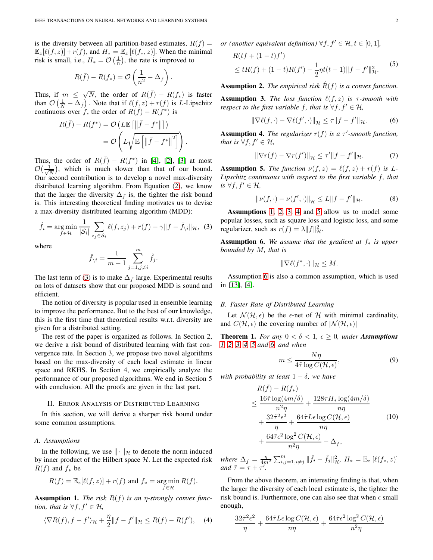is the diversity between all partition-based estimates,  $R(f)$  =  $\mathbb{E}_{z}[\ell(f,z)] + r(f)$ , and  $H_* = \mathbb{E}_{z}[\ell(f_*,z)]$ . When the minimal risk is small, i.e.,  $H_* = \mathcal{O}\left(\frac{1}{n}\right)$ , the rate is improved to

$$
R(\bar{f}) - R(f_*) = \mathcal{O}\left(\frac{1}{n^2} - \Delta_{\bar{f}}\right).
$$

Thus, if  $m \leq \sqrt{N}$ , the order of  $R(\bar{f}) - R(f_*)$  is faster than  $\mathcal{O}\left(\frac{1}{N} - \Delta_{\bar{f}}\right)$ . Note that if  $\ell(f,z) + r(f)$  is L-Lipschitz continuous over f, the order of  $R(\bar{f}) - R(f^*)$  is

$$
R(\bar{f}) - R(f^*) = \mathcal{O}\left(L\mathbb{E}\left[\left\|\bar{f} - f^*\right\|\right]\right)
$$

$$
= \mathcal{O}\left(L\sqrt{\mathbb{E}\left[\left\|\bar{f} - f^*\right\|^2\right]}\right).
$$

Thus, the order of  $R(\bar{f}) - R(f^*)$  in [\[4\]](#page-8-0), [\[2\]](#page-7-1), [\[3\]](#page-7-2) at most  $\mathcal{O}\bigl( \frac{1}{\sqrt{N}}$  $\frac{1}{N}$ ), which is much slower than that of our bound. Our second contribution is to develop a novel max-diversity distributed learning algorithm. From Equation [\(2\)](#page-0-0), we know that the larger the diversity  $\Delta_{\bar{f}}$  is, the tighter the risk bound is. This interesting theoretical finding motivates us to devise a max-diversity distributed learning algorithm (MDD):

$$
\hat{f}_i = \underset{f \in \mathcal{H}}{\arg \min} \frac{1}{|\mathcal{S}_i|} \sum_{z_j \in \mathcal{S}_i} \ell(f, z_j) + r(f) - \gamma \|f - \bar{f}_{\setminus i}\|_{\mathcal{H}}, \tag{3}
$$

where

$$
\bar{f}_{\backslash i} = \frac{1}{m-1} \sum_{j=1, j \neq i}^{m} \hat{f}_{j}.
$$

The last term of [\(3\)](#page-1-0) is to make  $\Delta_{\bar{f}}$  large. Experimental results on lots of datasets show that our proposed MDD is sound and efficient.

The notion of diversity is popular used in ensemble learning to improve the performance. But to the best of our knowledge, this is the first time that theoretical results w.r.t. diversity are given for a distributed setting.

The rest of the paper is organized as follows. In Section 2, we derive a risk bound of distributed learning with fast convergence rate. In Section 3, we propose two novel algorithms based on the max-diversity of each local estimate in linear space and RKHS. In Section 4, we empirically analyze the performance of our proposed algorithms. We end in Section 5 with conclusion. All the proofs are given in the last part.

#### II. ERROR ANALYSIS OF DISTRIBUTED LEARNING

In this section, we will derive a sharper risk bound under some common assumptions.

# *A. Assumptions*

In the following, we use  $\|\cdot\|_{\mathcal{H}}$  to denote the norm induced by inner product of the Hilbert space  $H$ . Let the expected risk  $R(f)$  and  $f_*$  be

$$
R(f) = \mathbb{E}_z[\ell(f, z)] + r(f)
$$
 and  $f_* = \underset{f \in \mathcal{H}}{\text{arg min}} R(f).$ 

<span id="page-1-1"></span>**Assumption 1.** *The risk*  $R(f)$  *is an*  $\eta$ *-strongly convex function, that is*  $\forall f, f' \in \mathcal{H}$ *,* 

$$
\langle \nabla R(f), f - f' \rangle_{\mathcal{H}} + \frac{\eta}{2} \| f - f' \|_{\mathcal{H}} \le R(f) - R(f'), \quad (4)
$$

*or (another equivalent definition)*  $\forall f, f' \in \mathcal{H}, t \in [0, 1]$ *,* 

$$
R(tf + (1 - t)f')\n \le tR(f) + (1 - t)R(f') - \frac{1}{2}\eta t(t - 1)\|f - f'\|_{\mathcal{H}}^2.
$$
\n(5)

<span id="page-1-2"></span>**Assumption 2.** *The empirical risk*  $\hat{R}(f)$  *is a convex function.* 

<span id="page-1-3"></span>Assumption 3. *The loss function* ℓ(f, z) *is* τ*-smooth with respect to the first variable* f, that is  $\forall f, f' \in \mathcal{H}$ ,

<span id="page-1-8"></span>
$$
\|\nabla \ell(f,\cdot) - \nabla \ell(f',\cdot)\|_{\mathcal{H}} \leq \tau \|f - f'\|_{\mathcal{H}}.\tag{6}
$$

<span id="page-1-4"></span>**Assumption 4.** *The regularizer*  $r(f)$  *is a*  $\tau'$ -smooth function, *that is*  $\forall f, f' \in \mathcal{H}$ *,* 

<span id="page-1-10"></span>
$$
\|\nabla r(f) - \nabla r(f')\|_{\mathcal{H}} \le \tau' \|f - f'\|_{\mathcal{H}}.\tag{7}
$$

<span id="page-1-5"></span>**Assumption 5.** *The function*  $\nu(f, z) = \ell(f, z) + r(f)$  *is L*-*Lipschitz continuous with respect to the first variable* f*, that is* ∀*f*,  $f'$  ∈  $H$ ,

$$
\|\nu(f,\cdot) - \nu(f',\cdot)\|_{\mathcal{H}} \le L \|f - f'\|_{\mathcal{H}}.
$$
 (8)

<span id="page-1-0"></span>Assumptions [1,](#page-1-1) [2,](#page-1-2) [3,](#page-1-3) [4](#page-1-4) and [5](#page-1-5) allow us to model some popular losses, such as square loss and logistic loss, and some regularizer, such as  $r(f) = \lambda ||f||_{\mathcal{H}}^2$ .

<span id="page-1-6"></span>Assumption 6. *We assume that the gradient at* f<sup>∗</sup> *is upper bounded by* M*, that is*

<span id="page-1-11"></span>
$$
\|\nabla \ell(f^*,\cdot)\|_{\mathcal{H}} \leq M.
$$

Assumption [6](#page-1-6) is also a common assumption, which is used in [\[13\]](#page-8-9), [\[4\]](#page-8-0).

#### *B. Faster Rate of Distributed Learning*

Let  $\mathcal{N}(\mathcal{H}, \epsilon)$  be the  $\epsilon$ -net of H with minimal cardinality, and  $C(\mathcal{H}, \epsilon)$  the covering number of  $|\mathcal{N}(\mathcal{H}, \epsilon)|$ 

<span id="page-1-7"></span>**Theorem 1.** *For any*  $0 < \delta < 1$ ,  $\epsilon \ge 0$ , *under* **Assumptions** *[1,](#page-1-1) [2,](#page-1-2) [3,](#page-1-3) [4,](#page-1-4) [5](#page-1-5) and [6,](#page-1-6) and when*

<span id="page-1-12"></span>
$$
m \le \frac{N\eta}{4\tilde{\tau}\log C(\mathcal{H}, \epsilon)},\tag{9}
$$

*with probability at least* 1 − δ*, we have*

$$
R(\bar{f}) - R(f_*)
$$
  
\n
$$
\leq \frac{16\tilde{\tau}\log(4m/\delta)}{n^2\eta} + \frac{128\tau H_*\log(4m/\delta)}{n\eta}
$$
  
\n
$$
+ \frac{32\tilde{\tau}^2\epsilon^2}{\eta} + \frac{64\tilde{\tau}L\epsilon\log C(\mathcal{H}, \epsilon)}{n\eta}
$$
  
\n
$$
+ \frac{64\tilde{\tau}\epsilon^2\log^2 C(\mathcal{H}, \epsilon)}{n^2\eta} - \Delta_{\bar{f}},
$$
\n(10)

*where*  $\Delta_{\bar{f}} = \frac{\eta}{4m^2} \sum_{i,j=1, i \neq j}^{m} ||\hat{f}_i - \hat{f}_j||_{\mathcal{H}}^2$ ,  $H_* = \mathbb{E}_z [\ell(f_*, z)]$ <br>*and*  $\tilde{\tau} = \tau + \tau'.$ 

From the above theorem, an interesting finding is that, when the larger the diversity of each local estimate is, the tighter the risk bound is. Furthermore, one can also see that when  $\epsilon$  small enough,

<span id="page-1-9"></span>
$$
\frac{32\tilde{\tau}^2\epsilon^2}{\eta} + \frac{64\tilde{\tau}L\epsilon\log C(\mathcal{H}, \epsilon)}{n\eta} + \frac{64\tilde{\tau}\epsilon^2\log^2 C(\mathcal{H}, \epsilon)}{n^2\eta}
$$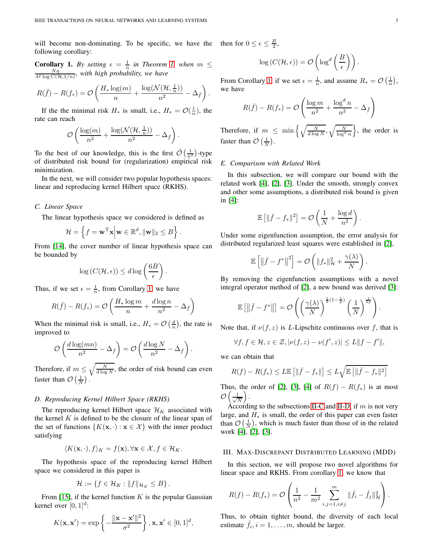will become non-dominating. To be specific, we have the following corollary:

<span id="page-2-0"></span>**Corollary 1.** *By setting*  $\epsilon = \frac{1}{n}$  *in Theorem [1,](#page-1-7) when*  $m \leq \frac{N\eta}{4\bar{\tau} \log C(\mathcal{H},1/n)}$ *, with high probability, we have* 

$$
R(\bar{f}) - R(f_*) = \mathcal{O}\left(\frac{H_*\log(m)}{n} + \frac{\log(\mathcal{N}(\mathcal{H}, \frac{1}{n}))}{n^2} - \Delta_{\bar{f}}\right).
$$

If the the minimal risk  $H_*$  is small, i.e.,  $H_* = \mathcal{O}(\frac{1}{n})$ , the rate can reach

$$
\mathcal{O}\left(\frac{\log(m)}{n^2} + \frac{\log(\mathcal{N}(\mathcal{H}, \frac{1}{n}))}{n^2} - \Delta_{\bar{f}}\right).
$$

To the best of our knowledge, this is the first  $\tilde{\mathcal{O}}\left(\frac{1}{n^2}\right)$ -type of distributed risk bound for (regularization) empirical risk minimization.

In the next, we will consider two popular hypothesis spaces: linear and reproducing kernel Hilbert space (RKHS).

#### <span id="page-2-1"></span>*C. Linear Space*

The linear hypothesis space we considered is defined as

$$
\mathcal{H} = \left\{ f = \mathbf{w}^{\mathrm{T}} \mathbf{x} \middle| \mathbf{w} \in \mathbb{R}^d, \|\mathbf{w}\|_2 \leq B \right\}.
$$

From [\[14\]](#page-8-10), the cover number of linear hypothesis space can be bounded by

$$
\log\left(C(\mathcal{H}, \epsilon)\right) \leq d \log\left(\frac{6B}{\epsilon}\right).
$$

Thus, if we set  $\epsilon = \frac{1}{n}$ , from Corollary [1,](#page-2-0) we have

$$
R(\bar{f}) - R(f_*) = \mathcal{O}\left(\frac{H_* \log m}{n} + \frac{d \log n}{n^2} - \Delta_{\bar{f}}\right)
$$

When the minimal risk is small, i.e.,  $H_* = \mathcal{O}\left(\frac{d}{n}\right)$ , the rate is improved to

$$
\mathcal{O}\left(\frac{d\log(mn)}{n^2} - \Delta_{\bar{f}}\right) = \mathcal{O}\left(\frac{d\log N}{n^2} - \Delta_{\bar{f}}\right).
$$

Therefore, if  $m \leq \sqrt{\frac{N}{d \log N}}$ , the order of risk bound can even faster than  $\mathcal{O}\left(\frac{1}{N}\right)$ .

#### <span id="page-2-2"></span>*D. Reproducing Kernel Hilbert Space (RKHS)*

The reproducing kernel Hilbert space  $\mathcal{H}_K$  associated with the kernel  $K$  is defined to be the closure of the linear span of the set of functions  $\{K(\mathbf{x},\cdot):\mathbf{x}\in\mathcal{X}\}\)$  with the inner product satisfying

$$
\langle K(\mathbf{x},\cdot),f\rangle_K = f(\mathbf{x}), \forall \mathbf{x} \in \mathcal{X}, f \in \mathcal{H}_K.
$$

The hypothesis space of the reproducing kernel Hilbert space we considered in this paper is

$$
\mathcal{H}:=\left\{f\in\mathcal{H}_K:\|f\|_{\mathcal{H}_K}\leq B\right\}.
$$

From [\[15\]](#page-8-11), if the kernel function  $K$  is the popular Gaussian kernel over  $[0, 1]^d$ :

$$
K(\mathbf{x}, \mathbf{x}') = \exp\left\{-\frac{\|\mathbf{x} - \mathbf{x}'\|^2}{\sigma^2}\right\}, \mathbf{x}, \mathbf{x}' \in [0, 1]^d,
$$

then for  $0 \leq \epsilon \leq \frac{B}{2}$ ,

$$
\log(C(\mathcal{H}, \epsilon)) = \mathcal{O}\left(\log^d\left(\frac{B}{\epsilon}\right)\right).
$$

From Corollary [1,](#page-2-0) if we set  $\epsilon = \frac{1}{n}$ , and assume  $R_* = \mathcal{O}\left(\frac{1}{n}\right)$ , we have

$$
R(\bar{f}) - R(f_*) = \mathcal{O}\left(\frac{\log m}{n^2} + \frac{\log^d n}{n^2} - \Delta_{\bar{f}}\right)
$$

Therefore, if  $m \leq \min\left\{\sqrt{\frac{N}{d \log N}}, \sqrt{\frac{N}{\log^d n}}\right\}$ , the order is faster than  $\mathcal{O}\left(\frac{1}{N}\right)$ .

#### *E. Comparison with Related Work*

In this subsection, we will compare our bound with the related work [\[4\]](#page-8-0), [\[2\]](#page-7-1), [\[3\]](#page-7-2). Under the smooth, strongly convex and other some assumptions, a distributed risk bound is given in [\[4\]](#page-8-0):

$$
\mathbb{E}\left[\|\bar{f}-f_*\|^2\right] = \mathcal{O}\left(\frac{1}{N} + \frac{\log d}{n^2}\right).
$$

Under some eigenfunction assumption, the error analysis for distributed regularized least squares were established in [\[2\]](#page-7-1),

$$
\mathbb{E}\left[\left\|\bar{f}-f^*\right\|^2\right]=\mathcal{O}\left(\|f_*\|_{\mathcal{H}}^2+\frac{\gamma(\lambda)}{N}\right).
$$

By removing the eigenfunction assumptions with a novel integral operator method of [\[2\]](#page-7-1), a new bound was derived [\[3\]](#page-7-2):

$$
\mathbb{E}\left[\left\|\bar{f}-f^*\right\|\right] = \mathcal{O}\left(\left(\frac{\gamma(\lambda)}{N}\right)^{\frac{1}{2}(1-\frac{1}{p})}\left(\frac{1}{N}\right)^{\frac{1}{2p}}\right).
$$

Note that, if  $\nu(f, z)$  is L-Lipschitz continuous over f, that is

$$
\forall f, f \in \mathcal{H}, z \in \mathcal{Z}, |\nu(f, z) - \nu(f', z)| \le L \|f - f'\|,
$$

we can obtain that

$$
R(f) - R(f_*) \leq L \mathbb{E}\left[\|\bar{f} - f_*\|\right] \leq L \sqrt{\mathbb{E}\left[\|\bar{f} - f_*\|^2\right]}
$$

Thus, the order of [\[2\]](#page-7-1), [\[3\]](#page-7-2), [\[4\]](#page-8-0) of  $R(f) - R(f_*)$  is at most  $\mathcal{O}\left(\frac{1}{\sqrt{N}}\right)$ N  $\big).$ 

According to the subsections [II-C](#page-2-1) and [II-D,](#page-2-2) if  $m$  is not very large, and  $H_*$  is small, the order of this paper can even faster than  $\mathcal{O}\left(\frac{1}{N}\right)$ , which is much faster than those of in the related work [\[4\]](#page-8-0), [\[2\]](#page-7-1), [\[3\]](#page-7-2).

#### III. MAX-DISCREPANT DISTRIBUTED LEARNING (MDD)

In this section, we will propose two novel algorithms for linear space and RKHS. From corollary [1,](#page-2-0) we know that

$$
R(f) - R(f_*) = \mathcal{O}\left(\frac{1}{n^2} - \frac{1}{m^2} \sum_{i,j=1, i \neq j}^m \|\hat{f}_i - \hat{f}_j\|_{\mathcal{H}}^2\right).
$$

Thus, to obtain tighter bound, the diversity of each local estimate  $\hat{f}_i$ ,  $i = 1, \dots, m$ , should be larger.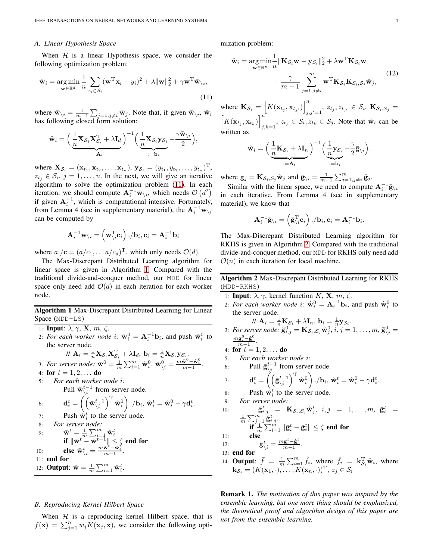#### *A. Linear Hypothesis Space*

When  $H$  is a linear Hypothesis space, we consider the following optimization problem:

$$
\hat{\mathbf{w}}_i = \underset{\mathbf{w} \in \mathbb{R}^d}{\arg \min} \frac{1}{n} \sum_{z_i \in \mathcal{S}_i} (\mathbf{w}^{\mathrm{T}} \mathbf{x}_i - y_i)^2 + \lambda \|\mathbf{w}\|_2^2 + \gamma \mathbf{w}^{\mathrm{T}} \bar{\mathbf{w}}_{\backslash i},
$$
\n(11)

where  $\bar{\mathbf{w}}_{\setminus i} = \frac{1}{m-1} \sum_{j=1, j\neq i} \hat{\mathbf{w}}_j$ . Note that, if given  $\bar{\mathbf{w}}_{\setminus i}$ ,  $\hat{\mathbf{w}}_i$ has following closed form solution:

$$
\hat{\mathbf{w}}_i = \left(\underbrace{\frac{1}{n}\mathbf{X}_{\mathcal{S}_i}\mathbf{X}_{\mathcal{S}_i}^{\mathrm{T}} + \lambda\mathbf{I}_d}_{:=\mathbf{A}_i}\right)^{-1} \left(\underbrace{\frac{1}{n}\mathbf{X}_{\mathcal{S}_i}\mathbf{y}_{\mathcal{S}_i} - \frac{\gamma\bar{\mathbf{w}}_{\setminus i}}{2}}_{:=\mathbf{b}_i}\right),
$$

where  $\mathbf{X}_{\mathcal{S}_i} = (\mathbf{x}_{t_1}, \mathbf{x}_{t_2}, \dots, \mathbf{x}_{t_n}), \mathbf{y}_{\mathcal{S}_i} = (y_{t_1}, y_{t_2}, \dots, y_{t_n})^{\mathrm{T}},$  $z_{t_j} \in S_i$ ,  $j = 1, ..., n$ . In the next, we will give an iterative algorithm to solve the optimization problem [\(11\)](#page-3-0). In each iteration, we should compute  $\mathbf{A}_i^{-1} \bar{\mathbf{w}}_{\setminus i}$ , which needs  $\mathcal{O}(d^2)$ if given  $A_i^{-1}$ , which is computational intensive. Fortunately, from Lemma 4 (see in supplementary material), the  $A_i^{-1} \bar{w}_{\setminus i}$ can be computed by

$$
\mathbf{A}_i^{-1}\bar{\mathbf{w}}_{\setminus i} = \left(\bar{\mathbf{w}}_{\setminus i}^{\mathrm{T}} \mathbf{c}_i\right)./\mathbf{b}_i, \mathbf{c}_i = \mathbf{A}_i^{-1}\mathbf{b}_i
$$

where  $a./\mathbf{c} = (a/c_1, \dots a/c_d)^T$ , which only needs  $\mathcal{O}(d)$ .

The Max-Discrepant Distributed Learning algorithm for linear space is given in Algorithm [1.](#page-3-1) Compared with the traditional divide-and-conquer method, our MDD for linear space only need add  $\mathcal{O}(d)$  in each iteration for each worker node.

Algorithm 1 Max-Discrepant Distributed Learning for Linear Space (MDD-LS)

- <span id="page-3-1"></span>1: Input:  $\lambda, \gamma, X, m, \zeta$ .
- 2: For each worker node i:  $\hat{\mathbf{w}}_i^0 = \mathbf{A}_i^{-1} \mathbf{b}_i$ , and push  $\hat{\mathbf{w}}_i^0$  to the server node.

$$
\mathcal{W} \; \mathbf{A}_i = \tfrac{1}{n} \mathbf{X}_{\mathcal{S}_i} \mathbf{X}_{\mathcal{S}_i}^\mathrm{T} + \lambda \mathbf{I}_d, \, \mathbf{b}_i = \tfrac{1}{n} \mathbf{X}_{\mathcal{S}_i} \mathbf{y}_{\mathcal{S}_i}.
$$

3: For server node: 
$$
\bar{\mathbf{w}}^0 = \frac{1}{m} \sum_{i=1}^m \hat{\mathbf{w}}_i^0
$$
,  $\bar{\mathbf{w}}_i^0 = \frac{m\bar{\mathbf{w}}^0 - \hat{\mathbf{w}}_i^0}{m-1}$ 

- 4: for  $t = 1, 2, \ldots$  do
- 5: *For each worker node* i*:*

$$
\text{Full } \bar{\mathbf{w}}_{\setminus i}^{t-1} \text{ from server node.}
$$
\n
$$
\mathbf{d}_i^t = \left( \left( \bar{\mathbf{w}}_{\setminus i}^{t-1} \right)^{\mathrm{T}} \hat{\mathbf{w}}_i^0 \right) . / \mathbf{b}_i, \, \hat{\mathbf{w}}_i^t = \hat{\mathbf{w}}_i^0 - \gamma \mathbf{d}_i^t
$$

- 7: Push  $\hat{\mathbf{w}}_i^t$  to the server node.
- 8: *For server node:*

9: 
$$
\begin{array}{ll}\n\bar{\mathbf{w}}^t = \frac{1}{m} \sum_{i=1}^m \hat{\mathbf{w}}_i^t \\
\text{if } \|\bar{\mathbf{w}}^t - \bar{\mathbf{w}}^{t-1}\| \leq \zeta \text{ end for} \\
10: \qquad \text{else } \bar{\mathbf{w}}_i^t = \frac{m\bar{\mathbf{w}}^t - \hat{\mathbf{w}}_i^t}{m-1}.\n\end{array}
$$

11: end for

12: **Output:**  $\bar{\mathbf{w}} = \frac{1}{m} \sum_{i=1}^{m} \hat{\mathbf{w}}_i^t$ .

### *B. Reproducing Kernel Hilbert Space*

When  $H$  is a reproducing kernel Hilbert space, that is  $f(\mathbf{x}) = \sum_{j=1}^{n} w_j K(\mathbf{x}_j, \mathbf{x})$ , we consider the following optimization problem:

$$
\hat{\mathbf{w}}_i = \underset{\mathbf{w} \in \mathbb{R}^n}{\arg \min} \frac{1}{n} \|\mathbf{K}_{\mathcal{S}_i} \mathbf{w} - \mathbf{y}_{\mathcal{S}_i}\|_2^2 + \lambda \mathbf{w}^{\mathrm{T}} \mathbf{K}_{\mathcal{S}_i} \mathbf{w} + \frac{\gamma}{m-1} \sum_{j=1, j \neq i}^m \mathbf{w}^{\mathrm{T}} \mathbf{K}_{\mathcal{S}_i} \mathbf{K}_{\mathcal{S}_i, \mathcal{S}_j} \hat{\mathbf{w}}_j, \tag{12}
$$

<span id="page-3-0"></span>where  $\mathbf{K}_{\mathcal{S}_i} = \left[K(\mathbf{x}_{t_j}, \mathbf{x}_{t_{j'}})\right]_i^n$  $\{z_{t,j}, z_{t,j}, z_{t,j'} \in \mathcal{S}_i, \, \mathbf{K}_{\mathcal{S}_i, \mathcal{S}_j} = 0\}$  $\left[K(\mathbf{x}_{t_j}, \mathbf{x}_{t_k})\right]^n$  $j,k=1$ ,  $z_{t_j} \in S_i$ ,  $z_{t_k} \in S_j$ . Note that  $\hat{\mathbf{w}}_i$  can be written as

$$
\hat{\mathbf{w}}_i = \left(\underbrace{\frac{1}{n}\mathbf{K}_{\mathcal{S}_i} + \lambda\mathbf{I}_n}_{:=\mathbf{A}_i}\right)^{-1} \left(\underbrace{\frac{1}{n}\mathbf{y}_{\mathcal{S}_i} - \frac{\gamma}{2}\bar{\mathbf{g}}_{\setminus i}}_{:=\mathbf{b}_i}\right).
$$

where  $\mathbf{g}_j = \mathbf{K}_{\mathcal{S}_i, \mathcal{S}_j} \hat{\mathbf{w}}_j$  and  $\bar{\mathbf{g}}_{\setminus i} = \frac{1}{m-1} \sum_{j=1, j \neq i}^m \hat{\mathbf{g}}_j$ .

Similar with the linear space, we need to compute  $A_i^{-1} \bar{g}_{\setminus i}$ in each iterative. From Lemma 4 (see in supplementary material), we know that

$$
\mathbf{A}_i^{-1}\bar{\mathbf{g}}_{\setminus i} = \left(\bar{\mathbf{g}}_{\setminus i}^\mathrm{T}\mathbf{c}_i\right)./\mathbf{b}_i, \mathbf{c}_i = \mathbf{A}_i^{-1}\mathbf{b}_i.
$$

The Max-Discrepant Distributed Learning algorithm for RKHS is given in Algorithm [2.](#page-3-2) Compared with the traditional divide-and-conquer method, our MDD for RKHS only need add  $\mathcal{O}(n)$  in each iteration for local machine.

# Algorithm 2 Max-Discrepant Distributed Learning for RKHS (MDD-RKHS)

- <span id="page-3-2"></span>1: **Input:**  $\lambda$ ,  $\gamma$ , kernel function K, **X**, m,  $\zeta$ .
- 2: For each worker node i:  $\hat{\mathbf{w}}_i^0 = \mathbf{A}_i^{-1} \mathbf{b}_i$ , and push  $\hat{\mathbf{w}}_i^0$  to the server node.

 $\mathcal{N} \mathbf{A}_i = \frac{1}{n} \mathbf{K}_{\mathcal{S}_i} + \lambda \mathbf{I}_n, \mathbf{b}_i = \frac{1}{n} \mathbf{y}_{\mathcal{S}_i}.$ 3: For server node:  $\hat{\mathbf{g}}_{i,j}^0 = \mathbf{K}_{\mathcal{S}_i,\mathcal{S}_j} \hat{\mathbf{w}}_j^0, i,j = 1,\ldots,m, \bar{\mathbf{g}}_{\setminus i}^0 =$ 

$$
\frac{m\bar{\mathbf{g}}_i^0 - \hat{\mathbf{g}}_i^0}{m-1}.
$$

.

.

4: **for** 
$$
t = 1, 2, ...
$$
 **do**

5: For each worker node 
$$
i
$$
:

6: Pull 
$$
\bar{\mathbf{g}}_{\setminus i}^{t-1}
$$
 from server node.

7: 
$$
\mathbf{d}_{i}^{t} = \left( \left( \bar{\mathbf{g}}_{\backslash i}^{t-1} \right)^{\mathrm{T}} \hat{\mathbf{w}}_{i}^{0} \right) . / \mathbf{b}_{i}, \ \hat{\mathbf{w}}_{i}^{t} = \hat{\mathbf{w}}_{i}^{0} - \gamma \mathbf{d}_{i}^{t}.
$$

8: Push  $\hat{\mathbf{w}}_i^t$  to the server node.

9: For server node:  
\n10: 
$$
\hat{\mathbf{g}}_{i,j}^t = \mathbf{K}_{\mathcal{S}_i,\mathcal{S}_j} \hat{\mathbf{w}}_j^t, i,j = 1,\ldots,m, \ \bar{\mathbf{g}}_i^t = \frac{1}{m} \sum_{\substack{j=1 \ j \neq j}}^{m} \hat{\mathbf{g}}_{i,j}^t.
$$
\n11: 
$$
\hat{\mathbf{f}} \frac{1}{m} \sum_{i=1}^{m} ||\bar{\mathbf{g}}_i^t - \bar{\mathbf{g}}_i^t|| \le \zeta \text{ end for}
$$

 $12:$  $\frac{t}{\lambda_i} = \frac{m\bar{\mathbf{g}}_i^t - \hat{\mathbf{g}}_i^t}{m-1}.$ 13: end for

14: **Output:**  $\bar{f} = \frac{1}{m} \sum_{i=1}^{m} \hat{f}_i$ , where  $\hat{f}_i = \mathbf{k}_{\mathcal{S}_i}^T \hat{\mathbf{w}}_i$ , where  $\mathbf{k}_{\mathcal{S}_i} = (K(\mathbf{x}_1, \cdot), \dots, K(\mathbf{x}_n, \cdot))^{\mathrm{T}}, z_j \in \mathcal{S}_i$ 

Remark 1. *The motivation of this paper was inspired by the ensemble learning, but one more thing should be emphasized, the theoretical proof and algorithm design of this paper are not from the ensemble learning.*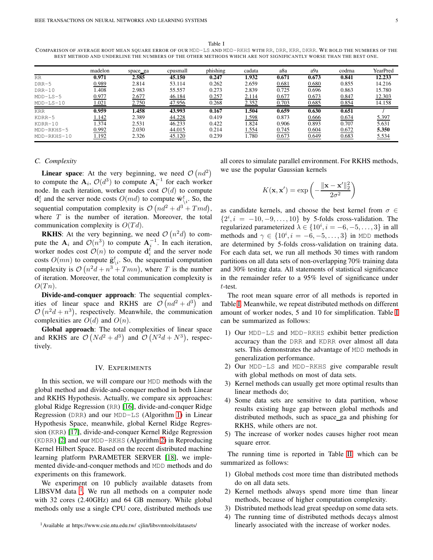Table I

<span id="page-4-1"></span>COMPARISON OF AVERAGE ROOT MEAN SQUARE ERROR OF OUR MDD-LS AND MDD-RKHS WITH RR, DRR, KRR, DKRR. WE BOLD THE NUMBERS OF THE BEST METHOD AND UNDERLINE THE NUMBERS OF THE OTHER METHODS WHICH ARE NOT S IGNIFICANTLY WORSE THAN THE BEST ONE.

|              | madelon | space ga | cpusmall | phishing | cadata | a8a   | a9a   | codrna | YearPred |
|--------------|---------|----------|----------|----------|--------|-------|-------|--------|----------|
| <b>RR</b>    | 0.971   | 2.585    | 45.150   | 0.247    | 1.932  | 0.671 | 0.673 | 0.841  | 12.233   |
| $DRR-5$      | 0.989   | 2.814    | 53.114   | 0.262    | 2.659  | 0.681 | 0.680 | 0.855  | 14.216   |
| $DRR-10$     | .408    | 2.983    | 55.557   | 0.273    | 2.839  | 0.725 | 0.696 | 0.863  | 15.780   |
| $MDD-LS-5$   | 0.977   | 2.677    | 46.184   | 0.257    | 2.114  | 0.677 | 0.673 | 0.847  | 12.303   |
| $MDD-LS-10$  | .021    | 2.750    | 47.956   | 0.268    | 2.352  | 0.703 | 0.685 | 0.854  | 14.158   |
| <b>KRR</b>   | 0.959   | .458     | 43.993   | 0.167    | l.504  | 0.659 | 0.630 | 0.651  |          |
| $KDRR-5$     | l.142   | 2.389    | 44.228   | 0.419    | 1.598  | 0.873 | 0.666 | 0.674  | 5.397    |
| KDRR-10      | .374    | 2.531    | 46.233   | 0.422    | 1.824  | 0.906 | 0.893 | 0.707  | 5.631    |
| $MDD-RKHS-5$ | 0.992   | 2.030    | 44.015   | 0.214    | 1.554  | 0.745 | 0.604 | 0.672  | 5.350    |
| MDD-RKHS-10  | 1.192   | 2.326    | 45.120   | 0.239    | 1.780  | 0.673 | 0.649 | 0.683  | 5.534    |

# *C. Complexity*

**Linear space:** At the very beginning, we need  $\mathcal{O}(nd^2)$ to compute the  $\mathbf{A}_i$ ,  $\mathcal{O}(d^3)$  to compute  $\mathbf{A}_i^{-1}$  for each worker node. In each iteration, worker nodes cost  $\mathcal{O}(d)$  to compute  $\mathbf{d}_i^t$  and the server node costs  $O(md)$  to compute  $\bar{\mathbf{w}}_{\setminus i}^t$ . So, the sequential computation complexity is  $\mathcal{O}(nd^2 + d^3 + Tmd)$ , where  $T$  is the number of iteration. Moreover, the total communication complexity is  $O(Td)$ .

**RKHS:** At the very beginning, we need  $\mathcal{O}(n^2d)$  to compute the  $A_i$  and  $\mathcal{O}(n^3)$  to compute  $A_i^{-1}$ . In each iteration, worker nodes cost  $\mathcal{O}(n)$  to compute  $\mathbf{d}_i^t$  and the server node costs  $O(mn)$  to compute  $\bar{\mathbf{g}}_{\setminus i}^t$ . So, the sequential computation complexity is  $O(n^2d + n^3 + Tmn)$ , where T is the number of iteration. Moreover, the total communication complexity is  $O(Tn).$ 

Divide-and-conquer approach: The sequential complexities of linear space and RKHS are  $\mathcal{O}(nd^2 + d^3)$  and  $\mathcal{O}(n^2d + n^3)$ , respectively. Meanwhile, the communication complexities are  $O(d)$  and  $O(n)$ .

Global approach: The total complexities of linear space and RKHS are  $\mathcal{O}(Nd^2 + d^3)$  and  $\mathcal{O}(N^2d + N^3)$ , respectively.

#### IV. EXPERIMENTS

In this section, we will compare our MDD methods with the global method and divide-and-conquer method in both Linear and RKHS Hypothesis. Actually, we compare six approaches: global Ridge Regression (RR) [\[16\]](#page-8-12), divide-and-conquer Ridge Regression (DRR) and our MDD-LS (Algorithm [1\)](#page-3-1) in Linear Hypothesis Space, meanwhile, global Kernel Ridge Regression (KRR) [\[17\]](#page-8-13), divide-and-conquer Kernel Ridge Regression (KDRR) [\[2\]](#page-7-1) and our MDD-RKHS (Algorithm [2\)](#page-3-2) in Reproducing Kernel Hilbert Space. Based on the recent distributed machine learning platform PARAMETER SERVER [\[18\]](#page-8-14), we implemented divide-and-conquer methods and MDD methods and do experiments on this framework.

We experiment on 10 publicly available datasets from LIBSVM data  $1$ . We run all methods on a computer node with 32 cores (2.40GHz) and 64 GB memory. While global methods only use a single CPU core, distributed methods use all cores to simulate parallel environment. For RKHS methods, we use the popular Gaussian kernels

$$
K(\mathbf{x}, \mathbf{x}') = \exp\left(-\frac{\|\mathbf{x} - \mathbf{x}'\|_2^2}{2\sigma^2}\right)
$$

as candidate kernels, and choose the best kernel from  $\sigma \in$  $\{2^i, i = -10, -9, \ldots, 10\}$  by 5-folds cross-validation. The regularized parameterized  $\lambda \in \{10^i, i = -6, -5, \dots, 3\}$  in all methods and  $\gamma \in \{10^i, i = -6, -5, \dots, 3\}$  in MDD methods are determined by 5-folds cross-validation on training data. For each data set, we run all methods 30 times with random partitions on all data sets of non-overlapping 70% training data and 30% testing data. All statements of statistical significance in the remainder refer to a 95% level of significance under t-test.

The root mean square error of all methods is reported in Table [I.](#page-4-1) Meanwhile, we repeat distributed methods on different amount of worker nodes, 5 and 10 for simplification. Table [I](#page-4-1) can be summarized as follows:

- 1) Our MDD-LS and MDD-RKHS exhibit better prediction accuracy than the DRR and KDRR over almost all data sets. This demonstrates the advantage of MDD methods in generalization performance.
- 2) Our MDD-LS and MDD-RKHS give comparable result with global methods on most of data sets.
- 3) Kernel methods can usually get more optimal results than linear methods do;
- 4) Some data sets are sensitive to data partition, whose results existing huge gap between global methods and distributed methods, such as space ga and phishing for RKHS, while others are not.
- 5) The increase of worker nodes causes higher root mean square error.

The running time is reported in Table [II,](#page-5-0) which can be summarized as follows:

- 1) Global methods cost more time than distributed methods do on all data sets.
- 2) Kernel methods always spend more time than linear methods, because of higher computation complexity.
- 3) Distributed methods lead great speedup on some data sets.
- 4) The running time of distributed methods decays almost linearly associated with the increase of worker nodes.

<span id="page-4-0"></span><sup>1</sup>Available at https://www.csie.ntu.edu.tw/ cjlin/libsvmtools/datasets/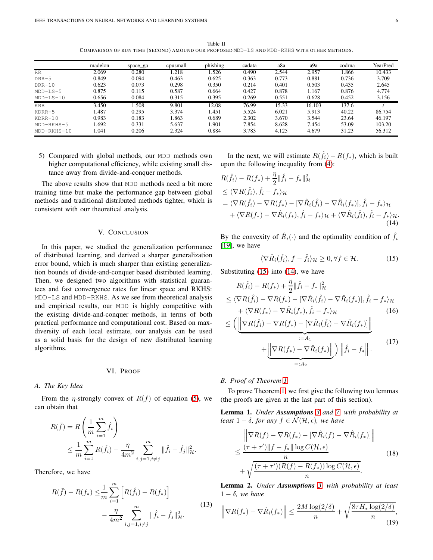Table II COMPARISON OF RUN TIME (SECOND) AMOUND OUR PROPOSED MDD-LS AND MDD-RKHS WITH OTHER METHODS.

<span id="page-5-0"></span>

|              | madelon | space_ga | cpusmall | phishing | cadata | a8a   | a9a    | codrna | YearPred |
|--------------|---------|----------|----------|----------|--------|-------|--------|--------|----------|
| RR.          | 2.069   | 0.280    | 1.218    | .526     | 0.490  | 2.544 | 2.957  | 1.866  | 10.433   |
| $DRR-5$      | 0.849   | 0.094    | 0.463    | 0.625    | 0.363  | 0.773 | 0.881  | 0.736  | 3.709    |
| $DRR-10$     | 0.623   | 0.073    | 0.298    | 0.350    | 0.214  | 0.401 | 0.503  | 0.435  | 2.645    |
| $MDD-LS-5$   | 0.875   | 0.115    | 0.587    | 0.664    | 0.427  | 0.878 | 1.167  | 0.876  | 4.774    |
| $MDD-LS-10$  | 0.656   | 0.084    | 0.315    | 0.395    | 0.269  | 0.551 | 0.628  | 0.452  | 3.156    |
| <b>KRR</b>   | 3.450   | .508     | 9.801    | 12.08    | 76.99  | 15.33 | 16.103 | 137.6  |          |
| $KDRR-5$     | .487    | 0.295    | 3.374    | 1.451    | 5.524  | 6.021 | 5.913  | 40.22  | 86.754   |
| $KDRR-10$    | 0.983   | 0.183    | 1.863    | 0.689    | 2.302  | 3.670 | 3.544  | 23.64  | 46.197   |
| $MDD-RKHS-5$ | .692    | 0.331    | 5.637    | 1.901    | 7.854  | 8.628 | 7.454  | 53.09  | 103.20   |
| MDD-RKHS-10  | .041    | 0.206    | 2.324    | 0.884    | 3.783  | 4.125 | 4.679  | 31.23  | 56.312   |

5) Compared with global methods, our MDD methods own higher computational efficiency, while existing small distance away from divide-and-conquer methods.

The above results show that MDD methods need a bit more training time but make the performance gap between global methods and traditional distributed methods tighter, which is consistent with our theoretical analysis.

# V. CONCLUSION

In this paper, we studied the generalization performance of distributed learning, and derived a sharper generalization error bound, which is much sharper than existing generalization bounds of divide-and-conquer based distributed learning. Then, we designed two algorithms with statistical guarantees and fast convergence rates for linear space and RKHS: MDD-LS and MDD-RKHS. As we see from theoretical analysis and empirical results, our MDD is highly competitive with the existing divide-and-conquer methods, in terms of both practical performance and computational cost. Based on maxdiversity of each local estimate, our analysis can be used as a solid basis for the design of new distributed learning algorithms.

#### VI. PROOF

#### *A. The Key Idea*

From the *η*-strongly convex of  $R(f)$  of equation [\(5\)](#page-1-8), we can obtain that

$$
R(\bar{f}) = R\left(\frac{1}{m}\sum_{i=1}^{m}\hat{f}_{i}\right)
$$
  
 
$$
\leq \frac{1}{m}\sum_{i=1}^{m}R(\hat{f}_{i}) - \frac{\eta}{4m^{2}}\sum_{i,j=1, i\neq j}^{m}||\hat{f}_{i} - \hat{f}_{j}||_{\mathcal{H}}^{2}.
$$

Therefore, we have

$$
R(\bar{f}) - R(f_*) \leq \frac{1}{m} \sum_{i=1}^m \left[ R(\hat{f}_i) - R(f_*) \right] - \frac{\eta}{4m^2} \sum_{i,j=1, i \neq j}^m \| \hat{f}_i - \hat{f}_j \|_{\mathcal{H}}^2.
$$
\n(13)

In the next, we will estimate  $R(\hat{f}_i) - R(f_*)$ , which is built upon the following inequality from [\(4\)](#page-1-9):

$$
R(\hat{f}_i) - R(f_*) + \frac{\eta}{2} ||\hat{f}_i - f_*||_{\mathcal{H}}^2
$$
  
\n
$$
\leq \langle \nabla R(\hat{f}_i), \hat{f}_i - f_* \rangle_{\mathcal{H}}
$$
  
\n
$$
= \langle \nabla R(\hat{f}_i) - \nabla R(f_*) - [\nabla \hat{R}_i(\hat{f}_i) - \nabla \hat{R}_i(f_*)], \hat{f}_i - f_* \rangle_{\mathcal{H}}
$$
  
\n
$$
+ \langle \nabla R(f_*) - \nabla \hat{R}_i(f_*), \hat{f}_i - f_* \rangle_{\mathcal{H}} + \langle \nabla \hat{R}_i(\hat{f}_i), \hat{f}_i - f_* \rangle_{\mathcal{H}}.
$$
\n(14)

By the convexity of  $\hat{R}_i(\cdot)$  and the optimality condition of  $\hat{f}_i$ [\[19\]](#page-8-15), we have

<span id="page-5-5"></span><span id="page-5-2"></span><span id="page-5-1"></span>
$$
\langle \nabla \hat{R}_i(\hat{f}_i), f - \hat{f}_i \rangle_{\mathcal{H}} \ge 0, \forall f \in \mathcal{H}.
$$
 (15)

Substituting  $(15)$  into  $(14)$ , we have

$$
R(\hat{f}_i) - R(f_*) + \frac{\eta}{2} \|\hat{f}_i - f_*\|_{\mathcal{H}}^2
$$
  
\n
$$
\leq \langle \nabla R(\hat{f}_i) - \nabla R(f_*) - [\nabla \hat{R}_i(\hat{f}_i) - \nabla \hat{R}_i(f_*)], \hat{f}_i - f_* \rangle_{\mathcal{H}}
$$
  
\n
$$
+ \langle \nabla R(f_*) - \nabla \hat{R}_i(f_*), \hat{f}_i - f_* \rangle_{\mathcal{H}}
$$
  
\n
$$
\leq \left( \underbrace{\left\| \nabla R(\hat{f}_i) - \nabla R(f_*) - [\nabla \hat{R}_i(\hat{f}_i) - \nabla \hat{R}_i(f_*)] \right\|}_{:= A_1} + \underbrace{\left\| \nabla R(f_*) - \nabla \hat{R}_i(f_*) \right\|}_{=: A_2} \right) \left\| \hat{f}_i - f_* \right\|_{\mathcal{H}}.
$$
\n(17)

#### *B. Proof of Theorem [1](#page-1-7)*

To prove Theorem [1,](#page-1-7) we first give the following two lemmas (the proofs are given at the last part of this section).

<span id="page-5-7"></span>Lemma 1. *Under Assumptions [3](#page-1-3) and [7,](#page-1-10) with probability at least*  $1 - \delta$ *, for any*  $f \in \mathcal{N}(\mathcal{H}, \epsilon)$ *, we have* 

<span id="page-5-3"></span>
$$
\|\nabla R(f) - \nabla R(f_*) - \left[\nabla \hat{R}_i(f) - \nabla \hat{R}_i(f_*)\right]\|
$$
  
\n
$$
\leq \frac{(\tau + \tau')\|f - f_*\| \log C(\mathcal{H}, \epsilon)}{n}
$$
  
\n
$$
+ \sqrt{\frac{(\tau + \tau') (R(f) - R(f_*)) \log C(\mathcal{H}, \epsilon)}{n}}.
$$
\n(18)

<span id="page-5-8"></span>Lemma 2. *Under Assumptions [3,](#page-1-3) with probability at least*  $1 - \delta$ *, we have* 

<span id="page-5-6"></span><span id="page-5-4"></span>
$$
\left\|\nabla R(f_*) - \nabla \hat{R}_i(f_*)\right\| \le \frac{2M\log(2/\delta)}{n} + \sqrt{\frac{8\tau H_*\log(2/\delta)}{n}},\tag{19}
$$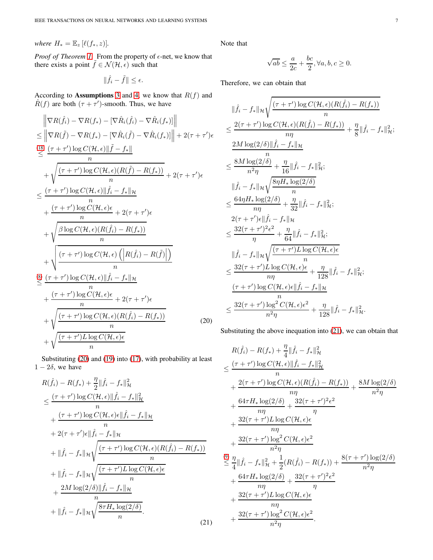*where*  $H_* = \mathbb{E}_z [\ell(f_*, z)].$ 

*Proof of Theorem [1.](#page-1-7)* From the property of  $\epsilon$ -net, we know that there exists a point  $\tilde{f} \in \mathcal{N}(\mathcal{H}, \epsilon)$  such that

$$
\|\hat{f}_i - \tilde{f}\| \le \epsilon.
$$

According to **Assumptions** [3](#page-1-3) and [4,](#page-1-4) we know that  $R(f)$  and  $\hat{R}(f)$  are both  $(\tau + \tau')$ -smooth. Thus, we have

$$
\|\nabla R(\hat{f}_i) - \nabla R(f_*) - [\nabla \hat{R}_i(\hat{f}_i) - \nabla \hat{R}_i(f_*)]\|
$$
\n
$$
\leq \|\nabla R(\tilde{f}) - \nabla R(f_*) - [\nabla \hat{R}_i(\tilde{f}) - \nabla \hat{R}_i(f_*)]\| + 2(\tau + \tau')\epsilon
$$
\n
$$
\leq \frac{(\tau + \tau')\log C(\mathcal{H}, \epsilon)\|\tilde{f} - f_*\|}{n}
$$
\n
$$
+ \sqrt{\frac{(\tau + \tau')\log C(\mathcal{H}, \epsilon)(R(\tilde{f}) - R(f_*))}{n}} + 2(\tau + \tau')\epsilon
$$
\n
$$
\leq \frac{(\tau + \tau')\log C(\mathcal{H}, \epsilon)\|\hat{f}_i - f_*\|_{\mathcal{H}}}{n}
$$
\n
$$
+ \frac{(\tau + \tau')\log C(\mathcal{H}, \epsilon)\epsilon}{n} + 2(\tau + \tau')\epsilon
$$
\n
$$
+ \sqrt{\frac{\beta\log C(\mathcal{H}, \epsilon)(R(\hat{f}_i) - R(f_*))}{n}}
$$
\n
$$
+ \sqrt{\frac{(\tau + \tau')\log C(\mathcal{H}, \epsilon)\left(R(\hat{f}_i) - R(\tilde{f})\right)}{n}}
$$
\n
$$
\leq \frac{(\tau + \tau')\log C(\mathcal{H}, \epsilon)\|\hat{f}_i - f_*\|_{\mathcal{H}}}{n}
$$
\n
$$
+ \frac{(\tau + \tau')\log C(\mathcal{H}, \epsilon)\epsilon}{n} + 2(\tau + \tau')\epsilon
$$
\n
$$
+ \sqrt{\frac{(\tau + \tau')\log C(\mathcal{H}, \epsilon)(R(\hat{f}_i) - R(f_*))}{n}}
$$
\n
$$
+ \sqrt{\frac{(\tau + \tau')\log C(\mathcal{H}, \epsilon)(R(\hat{f}_i) - R(f_*))}{n}}
$$
\n(20)

Substituting [\(20\)](#page-6-0) and [\(19\)](#page-5-4) into [\(17\)](#page-5-5), with probability at least  $1 - 2\delta$ , we have

$$
R(\hat{f}_{i}) - R(f_{*}) + \frac{\eta}{2} || \hat{f}_{i} - f_{*} ||_{\mathcal{H}}^{2}
$$
\n
$$
\leq \frac{(\tau + \tau') \log C(\mathcal{H}, \epsilon) || \hat{f}_{i} - f_{*} ||_{\mathcal{H}}^{2}}{n}
$$
\n
$$
+ \frac{(\tau + \tau') \log C(\mathcal{H}, \epsilon) \epsilon || \hat{f}_{i} - f_{*} ||_{\mathcal{H}}}{n}
$$
\n
$$
+ 2(\tau + \tau') \epsilon || \hat{f}_{i} - f_{*} ||_{\mathcal{H}}
$$
\n
$$
+ || \hat{f}_{i} - f_{*} ||_{\mathcal{H}} \sqrt{\frac{(\tau + \tau') \log C(\mathcal{H}, \epsilon) (R(\hat{f}_{i}) - R(f_{*}))}{n}}
$$
\n
$$
+ || \hat{f}_{i} - f_{*} ||_{\mathcal{H}} \sqrt{\frac{(\tau + \tau') L \log C(\mathcal{H}, \epsilon) \epsilon}{n}}
$$
\n
$$
+ \frac{2M \log(2/\delta) || \hat{f}_{i} - f_{*} ||_{\mathcal{H}}}{n}
$$
\n
$$
+ || \hat{f}_{i} - f_{*} ||_{\mathcal{H}} \sqrt{\frac{8\tau H_{*} \log(2/\delta)}{n}}.
$$
\n(21)

Note that

$$
\sqrt{ab} \le \frac{a}{2c} + \frac{bc}{2}, \forall a, b, c \ge 0.
$$

Therefore, we can obtain that

$$
\|\hat{f}_{i} - f_{*}\|_{\mathcal{H}} \sqrt{\frac{(\tau + \tau')\log C(\mathcal{H}, \epsilon)(R(\hat{f}_{i}) - R(f_{*}))}{n}} \\ \leq \frac{2(\tau + \tau')\log C(\mathcal{H}, \epsilon)(R(\hat{f}_{i}) - R(f_{*}))}{n\eta} + \frac{\eta}{8}\|\hat{f}_{i} - f_{*}\|_{\mathcal{H}}^{2};
$$
  

$$
\frac{2M\log(2/\delta)\|\hat{f}_{i} - f_{*}\|_{\mathcal{H}}}{n}
$$
  

$$
\leq \frac{8M\log(2/\delta)}{n^{2}\eta} + \frac{\eta}{16}\|\hat{f}_{i} - f_{*}\|_{\mathcal{H}}^{2};
$$
  

$$
\|\hat{f}_{i} - f_{*}\|_{\mathcal{H}} \sqrt{\frac{8\eta H_{*}\log(2/\delta)}{n}}
$$
  

$$
\leq \frac{64\eta H_{*}\log(2/\delta)}{n\eta} + \frac{\eta}{32}\|\hat{f}_{i} - f_{*}\|_{\mathcal{H}}^{2};
$$
  

$$
2(\tau + \tau')\epsilon\|\hat{f}_{i} - f_{*}\|_{\mathcal{H}} \\ \leq \frac{32(\tau + \tau')^{2}\epsilon^{2}}{\eta} + \frac{\eta}{64}\|\hat{f}_{i} - f_{*}\|_{\mathcal{H}}^{2};
$$
  

$$
\|\hat{f}_{i} - f_{*}\|_{\mathcal{H}} \sqrt{\frac{(\tau + \tau')L\log C(\mathcal{H}, \epsilon)\epsilon}{n}}
$$
  

$$
\leq \frac{32(\tau + \tau')L\log C(\mathcal{H}, \epsilon)\epsilon}{n\eta} + \frac{\eta}{128}\|\hat{f}_{i} - f_{*}\|_{\mathcal{H}}^{2};
$$
  

$$
\frac{(\tau + \tau')\log C(\mathcal{H}, \epsilon)\epsilon\|\hat{f}_{i} - f_{*}\|_{\mathcal{H}}}{n}
$$
  

$$
\leq \frac{32(\tau + \tau')\log C(\mathcal{H}, \epsilon)\epsilon^{2}}{n^{2}\eta} + \frac{\eta}{128}\|\hat{f}_{i} - f_{*}\|_{\mathcal{H}}^{2}.
$$

<span id="page-6-0"></span>Substituting the above inequation into [\(21\)](#page-6-1), we can obtain that

<span id="page-6-1"></span>
$$
R(\hat{f}_{i}) - R(f_{*}) + \frac{\eta}{4} ||\hat{f}_{i} - f_{*}||_{\mathcal{H}}^{2}
$$
\n
$$
\leq \frac{(\tau + \tau') \log C(\mathcal{H}, \epsilon) ||\hat{f}_{i} - f_{*}||_{\mathcal{H}}^{2}}{n}
$$
\n
$$
+ \frac{2(\tau + \tau') \log C(\mathcal{H}, \epsilon)(R(\hat{f}_{i}) - R(f_{*}))}{n\eta} + \frac{8M \log(2/\delta)}{n^{2}\eta}
$$
\n
$$
+ \frac{64\tau H_{*} \log(2/\delta)}{n\eta} + \frac{32(\tau + \tau')L \log C(\mathcal{H}, \epsilon)\epsilon}{n\eta}
$$
\n
$$
+ \frac{32(\tau + \tau')L \log C(\mathcal{H}, \epsilon)\epsilon^{2}}{n^{2}\eta}
$$
\n
$$
\leq \frac{\eta}{4} ||\hat{f}_{i} - f_{*}||_{\mathcal{H}}^{2} + \frac{1}{2}(R(\hat{f}_{i}) - R(f_{*})) + \frac{8(\tau + \tau') \log(2/\delta)}{n^{2}\eta}
$$
\n
$$
+ \frac{64\tau H_{*} \log(2/\delta)}{n\eta} + \frac{32(\tau + \tau')L \log C(\mathcal{H}, \epsilon)\epsilon^{2}}{n\eta}
$$
\n
$$
+ \frac{32(\tau + \tau')L \log C(\mathcal{H}, \epsilon)\epsilon}{n\eta}
$$
\n
$$
+ \frac{32(\tau + \tau') \log^{2} C(\mathcal{H}, \epsilon)\epsilon^{2}}{n^{2}\eta}.
$$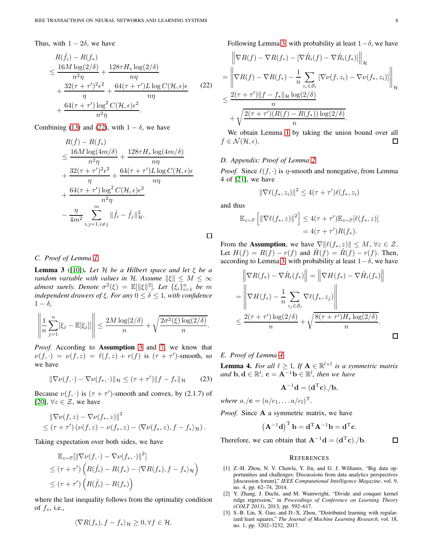Thus, with  $1 - 2\delta$ , we have

$$
R(\hat{f}_i) - R(f_*)
$$
  
\n
$$
\leq \frac{16M \log(2/\delta)}{n^2 \eta} + \frac{128\tau H_* \log(2/\delta)}{n\eta}
$$
  
\n
$$
+ \frac{32(\tau + \tau')^2 \epsilon^2}{\eta} + \frac{64(\tau + \tau')L \log C(\mathcal{H}, \epsilon)\epsilon}{n\eta}
$$
  
\n
$$
+ \frac{64(\tau + \tau') \log^2 C(\mathcal{H}, \epsilon)\epsilon^2}{n^2 \eta}.
$$
 (22)

Combining [\(13\)](#page-5-6) and [\(22\)](#page-7-3), with  $1 - \delta$ , we have

$$
R(\bar{f}) - R(f_*)
$$
  
\n
$$
\leq \frac{16M \log(4m/\delta)}{n^2 \eta} + \frac{128\tau H_* \log(4m/\delta)}{m\eta}
$$
  
\n
$$
+ \frac{32(\tau + \tau')^2 \epsilon^2}{\eta} + \frac{64(\tau + \tau')L \log C(\mathcal{H}, \epsilon)\epsilon}{m\eta}
$$
  
\n
$$
+ \frac{64(\tau + \tau') \log^2 C(\mathcal{H}, \epsilon)\epsilon^2}{n^2 \eta}
$$
  
\n
$$
- \frac{\eta}{4m^2} \sum_{i,j=1, i\neq j}^{m} ||\hat{f}_i - \hat{f}_j||^2_{\mathcal{H}}.
$$

*C. Proof of Lemma [1](#page-5-7)*

<span id="page-7-4"></span>**Lemma 3** ([\[10\]](#page-8-6)). Let  $H$  be a Hilbert space and let  $\xi$  be a *random variable with values in* H. Assume  $\|\xi\| \leq M \leq \infty$ *almost surely. Denote*  $\sigma^2(\xi) = \mathbb{E}[\|\xi\|^2]$ *. Let*  $\{\xi_i\}_{i=1}^n$  *be m independent drawers of*  $\xi$ *. For any*  $0 \le \delta \le 1$ *, with confidence*  $1 - \delta$ ,

$$
\left\|\frac{1}{n}\sum_{j=1}^n[\xi_j-\mathbb{E}[\xi_j]]\right\|\leq \frac{2M\log(2/\delta)}{n}+\sqrt{\frac{2\sigma^2(\xi)\log(2/\delta)}{n}}.
$$

*Proof.* According to Assumption [3](#page-1-3) and [7,](#page-1-10) we know that  $\nu(f, \cdot) = \nu(f, z) = \ell(f, z) + r(f)$  is  $(\tau + \tau')$ -smooth, so we have

$$
\|\nabla \nu(f,\cdot) - \nabla \nu(f_*,\cdot)\|_{\mathcal{H}} \leq (\tau + \tau')\|f - f_*\|_{\mathcal{H}} \qquad (23)
$$

Because  $\nu(f, \cdot)$  is  $(\tau + \tau')$ -smooth and convex, by (2.1.7) of [\[20\]](#page-8-16),  $\forall z \in \mathcal{Z}$ , we have

$$
\|\nabla \nu(f,z) - \nabla \nu(f_*,z)\|^2
$$
  
\$\leq (\tau + \tau')(\nu(f,z) - \nu(f\_\*,z) - \langle \nabla \nu(f\_\*,z), f - f\_\* \rangle\_{\mathcal{H}})\$.

Taking expectation over both sides, we have

$$
\mathbb{E}_{z \sim \mathbb{P}}[\|\nabla \nu(f, \cdot) - \nabla \nu(f_*, \cdot)\|^2]
$$
\n
$$
\leq (\tau + \tau') \left( R(\hat{f}_i) - R(f_*) - \langle \nabla R(f_*), f - f_* \rangle_{\mathcal{H}} \right)
$$
\n
$$
\leq (\tau + \tau') \left( R(\hat{f}_i) - R(f_*) \right)
$$

where the last inequality follows from the optimality condition of  $f_*$ , i.e.,

$$
\langle \nabla R(f_*), f - f_* \rangle_{\mathcal{H}} \geq 0, \forall f \in \mathcal{H}.
$$

Following Lemma [3,](#page-7-4) with probability at least  $1-\delta$ , we have

<span id="page-7-3"></span>
$$
\|\nabla R(f) - \nabla R(f_*) - \left[\nabla \hat{R}_i(f) - \nabla \hat{R}_i(f_*)\right]\|_{\mathcal{H}}
$$
\n
$$
= \left\|\nabla R(f) - \nabla R(f_*) - \frac{1}{n} \sum_{z_i \in S_i} \left[\nabla \nu(f, z_i) - \nabla \nu(f_*, z_i)\right]\right\|_{\mathcal{H}}
$$
\n
$$
\leq \frac{2(\tau + \tau')\|f - f_*\|_{\mathcal{H}} \log(2/\delta)}{n}
$$
\n
$$
+ \sqrt{\frac{2(\tau + \tau')(R(f) - R(f_*)) \log(2/\delta)}{n}}.
$$

We obtain Lemma [1](#page-5-7) by taking the union bound over all  $f \in \mathcal{N}(\mathcal{H}, \epsilon).$ 口

# *D. Appendix: Proof of Lemma [2](#page-5-8)*

*Proof.* Since  $\ell(f, \cdot)$  is  $\eta$ -smooth and nonegative, from Lemma 4 of [\[21\]](#page-8-17), we have

$$
\left\|\nabla\ell(f_*,z_i)\right\|^2 \leq 4(\tau+\tau')\ell(f_*,z_i)
$$

and thus

口

$$
\mathbb{E}_{z \sim \mathbb{P}}\left[\left\|\nabla \ell(f_*, z)\right\|^2\right] \le 4(\tau + \tau')\mathbb{E}_{z \sim \mathbb{P}}[\ell(f_*, z)]
$$
  
= 4(\tau + \tau')R(f\_\*).

From the Assumption, we have  $\nabla ||\ell(f_*, z)|| \leq M$ ,  $\forall z \in \mathcal{Z}$ . Let  $H(f) = R(f) - r(f)$  and  $\hat{H}(f) = \hat{R}(f) - r(f)$ . Then, according to Lemma [3,](#page-7-4) with probability at least  $1-\delta$ , we have

$$
\|\nabla R(f_*) - \nabla \hat{R}_i(f_*)\| = \|\nabla H(f_*) - \nabla \hat{H}_i(f_*)\|
$$
  
\n
$$
= \left\|\nabla H(f_*) - \frac{1}{n} \sum_{z_j \in S_i} \nabla \ell(f_*, z_j)\right\|
$$
  
\n
$$
\leq \frac{2(\tau + \tau') \log(2/\delta)}{n} + \sqrt{\frac{8(\tau + \tau')H_* \log(2/\delta)}{n}}.
$$

*E. Proof of Lemma [4](#page-7-5)*

<span id="page-7-5"></span>**Lemma 4.** For all  $\ell \geq 1$ , If  $\mathbf{A} \in \mathbb{R}^{l \times l}$  is a symmetric matrix *and*  $\mathbf{b}, \mathbf{d} \in \mathbb{R}^l$ ,  $\mathbf{c} = \mathbf{A}^{-1} \mathbf{b} \in \mathbb{R}^l$ , then we have

$$
\mathbf{A}^{-1}\mathbf{d} = (\mathbf{d}^{\mathrm{T}}\mathbf{c})./\mathbf{b},
$$

*where*  $a. / c = (a/c_1, ... a/c_l)^T$ .

*Proof.* Since A a symmetric matrix, we have

$$
\left(\mathbf{A}^{-1}\mathbf{d}\right)^{\mathrm{T}}\mathbf{b} = \mathbf{d}^{\mathrm{T}}\mathbf{A}^{-1}\mathbf{b} = \mathbf{d}^{\mathrm{T}}\mathbf{c}.
$$

Therefore, we can obtain that  $\mathbf{A}^{-1}\mathbf{d} = (\mathbf{d}^T\mathbf{c})$ ./b.

 $\Box$ 

#### **REFERENCES**

- <span id="page-7-0"></span>[1] Z.-H. Zhou, N. V. Chawla, Y. Jin, and G. J. Williams, "Big data opportunities and challenges: Discussions from data analytics perspectives [discussion forum]," *IEEE Computational Intelligence Magazine*, vol. 9, no. 4, pp. 62–74, 2014.
- <span id="page-7-1"></span>[2] Y. Zhang, J. Duchi, and M. Wainwright, "Divide and conquer kernel ridge regression," in *Proceedings of Conference on Learning Theory (COLT 2013)*, 2013, pp. 592–617.
- <span id="page-7-2"></span>[3] S.-B. Lin, X. Guo, and D.-X. Zhou, "Distributed learning with regularized least squares," *The Journal of Machine Learning Research*, vol. 18, no. 1, pp. 3202–3232, 2017.